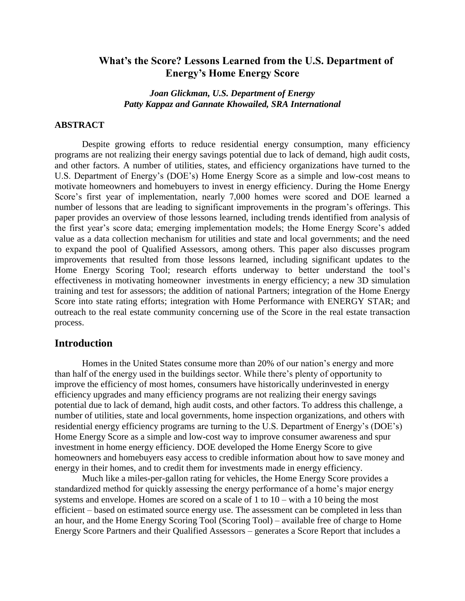## **What's the Score? Lessons Learned from the U.S. Department of Energy's Home Energy Score**

*Joan Glickman, U.S. Department of Energy Patty Kappaz and Gannate Khowailed, SRA International*

### **ABSTRACT**

Despite growing efforts to reduce residential energy consumption, many efficiency programs are not realizing their energy savings potential due to lack of demand, high audit costs, and other factors. A number of utilities, states, and efficiency organizations have turned to the U.S. Department of Energy's (DOE's) Home Energy Score as a simple and low-cost means to motivate homeowners and homebuyers to invest in energy efficiency. During the Home Energy Score's first year of implementation, nearly 7,000 homes were scored and DOE learned a number of lessons that are leading to significant improvements in the program's offerings. This paper provides an overview of those lessons learned, including trends identified from analysis of the first year's score data; emerging implementation models; the Home Energy Score's added value as a data collection mechanism for utilities and state and local governments; and the need to expand the pool of Qualified Assessors, among others. This paper also discusses program improvements that resulted from those lessons learned, including significant updates to the Home Energy Scoring Tool; research efforts underway to better understand the tool's effectiveness in motivating homeowner investments in energy efficiency; a new 3D simulation training and test for assessors; the addition of national Partners; integration of the Home Energy Score into state rating efforts; integration with Home Performance with ENERGY STAR; and outreach to the real estate community concerning use of the Score in the real estate transaction process.

### **Introduction**

Homes in the United States consume more than 20% of our nation's energy and more than half of the energy used in the buildings sector. While there's plenty of opportunity to improve the efficiency of most homes, consumers have historically underinvested in energy efficiency upgrades and many efficiency programs are not realizing their energy savings potential due to lack of demand, high audit costs, and other factors. To address this challenge, a number of utilities, state and local governments, home inspection organizations, and others with residential energy efficiency programs are turning to the U.S. Department of Energy's (DOE's) Home Energy Score as a simple and low-cost way to improve consumer awareness and spur investment in home energy efficiency. DOE developed the Home Energy Score to give homeowners and homebuyers easy access to credible information about how to save money and energy in their homes, and to credit them for investments made in energy efficiency.

Much like a miles-per-gallon rating for vehicles, the Home Energy Score provides a standardized method for quickly assessing the energy performance of a home's major energy systems and envelope. Homes are scored on a scale of 1 to 10 – with a 10 being the most efficient – based on estimated source energy use. The assessment can be completed in less than an hour, and the Home Energy Scoring Tool (Scoring Tool) – available free of charge to Home Energy Score Partners and their Qualified Assessors – generates a Score Report that includes a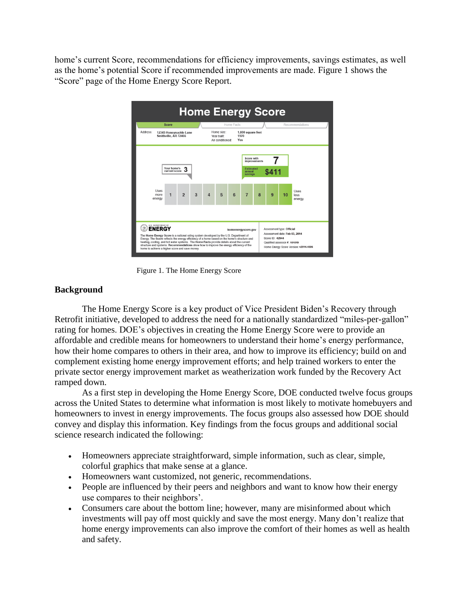home's current Score, recommendations for efficiency improvements, savings estimates, as well as the home's potential Score if recommended improvements are made. Figure 1 shows the "Score" page of the Home Energy Score Report.



Figure 1. The Home Energy Score

## **Background**

The Home Energy Score is a key product of Vice President Biden's Recovery through Retrofit initiative, developed to address the need for a nationally standardized "miles-per-gallon" rating for homes. DOE's objectives in creating the Home Energy Score were to provide an affordable and credible means for homeowners to understand their home's energy performance, how their home compares to others in their area, and how to improve its efficiency; build on and complement existing home energy improvement efforts; and help trained workers to enter the private sector energy improvement market as weatherization work funded by the Recovery Act ramped down.

As a first step in developing the Home Energy Score, DOE conducted twelve focus groups across the United States to determine what information is most likely to motivate homebuyers and homeowners to invest in energy improvements. The focus groups also assessed how DOE should convey and display this information. Key findings from the focus groups and additional social science research indicated the following:

- Homeowners appreciate straightforward, simple information, such as clear, simple, colorful graphics that make sense at a glance.
- Homeowners want customized, not generic, recommendations.
- People are influenced by their peers and neighbors and want to know how their energy use compares to their neighbors'.
- Consumers care about the bottom line; however, many are misinformed about which investments will pay off most quickly and save the most energy. Many don't realize that home energy improvements can also improve the comfort of their homes as well as health and safety.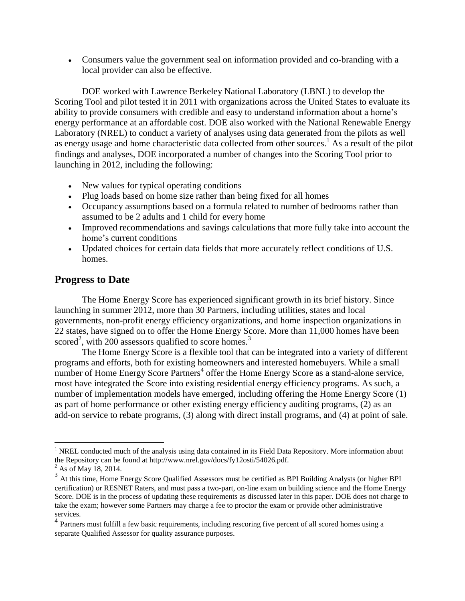Consumers value the government seal on information provided and co-branding with a local provider can also be effective.

DOE worked with Lawrence Berkeley National Laboratory (LBNL) to develop the Scoring Tool and pilot tested it in 2011 with organizations across the United States to evaluate its ability to provide consumers with credible and easy to understand information about a home's energy performance at an affordable cost. DOE also worked with the National Renewable Energy Laboratory (NREL) to conduct a variety of analyses using data generated from the pilots as well as energy usage and home characteristic data collected from other sources.<sup>1</sup> As a result of the pilot findings and analyses, DOE incorporated a number of changes into the Scoring Tool prior to launching in 2012, including the following:

- New values for typical operating conditions
- Plug loads based on home size rather than being fixed for all homes
- Occupancy assumptions based on a formula related to number of bedrooms rather than assumed to be 2 adults and 1 child for every home
- Improved recommendations and savings calculations that more fully take into account the home's current conditions
- Updated choices for certain data fields that more accurately reflect conditions of U.S. homes.

# **Progress to Date**

The Home Energy Score has experienced significant growth in its brief history. Since launching in summer 2012, more than 30 Partners, including utilities, states and local governments, non-profit energy efficiency organizations, and home inspection organizations in 22 states, have signed on to offer the Home Energy Score. More than 11,000 homes have been scored<sup>2</sup>, with 200 assessors qualified to score homes.<sup>3</sup>

The Home Energy Score is a flexible tool that can be integrated into a variety of different programs and efforts, both for existing homeowners and interested homebuyers. While a small number of Home Energy Score Partners<sup>4</sup> offer the Home Energy Score as a stand-alone service, most have integrated the Score into existing residential energy efficiency programs. As such, a number of implementation models have emerged, including offering the Home Energy Score (1) as part of home performance or other existing energy efficiency auditing programs, (2) as an add-on service to rebate programs, (3) along with direct install programs, and (4) at point of sale.

 $\overline{a}$ 

 $1$  NREL conducted much of the analysis using data contained in its Field Data Repository. More information about the Repository can be found at http://www.nrel.gov/docs/fy12osti/54026.pdf.

<sup>2</sup> As of May 18, 2014.

<sup>&</sup>lt;sup>3</sup> At this time, Home Energy Score Qualified Assessors must be certified as BPI Building Analysts (or higher BPI certification) or RESNET Raters, and must pass a two-part, on-line exam on building science and the Home Energy Score. DOE is in the process of updating these requirements as discussed later in this paper. DOE does not charge to take the exam; however some Partners may charge a fee to proctor the exam or provide other administrative services.

<sup>&</sup>lt;sup>4</sup> Partners must fulfill a few basic requirements, including rescoring five percent of all scored homes using a separate Qualified Assessor for quality assurance purposes.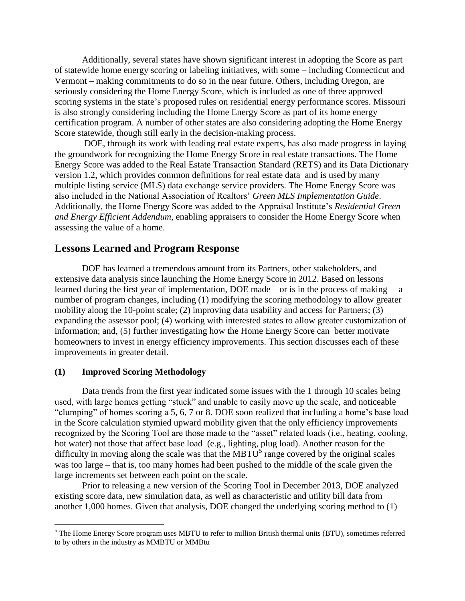Additionally, several states have shown significant interest in adopting the Score as part of statewide home energy scoring or labeling initiatives, with some – including Connecticut and Vermont – making commitments to do so in the near future. Others, including Oregon, are seriously considering the Home Energy Score, which is included as one of three approved scoring systems in the state's proposed rules on residential energy performance scores. Missouri is also strongly considering including the Home Energy Score as part of its home energy certification program. A number of other states are also considering adopting the Home Energy Score statewide, though still early in the decision-making process.

DOE, through its work with leading real estate experts, has also made progress in laying the groundwork for recognizing the Home Energy Score in real estate transactions. The Home Energy Score was added to the Real Estate Transaction Standard (RETS) and its Data Dictionary version 1.2, which provides common definitions for real estate data and is used by many multiple listing service (MLS) data exchange service providers. The Home Energy Score was also included in the National Association of Realtors' *Green MLS Implementation Guide*. Additionally, the Home Energy Score was added to the Appraisal Institute's *Residential Green and Energy Efficient Addendum*, enabling appraisers to consider the Home Energy Score when assessing the value of a home.

### **Lessons Learned and Program Response**

DOE has learned a tremendous amount from its Partners, other stakeholders, and extensive data analysis since launching the Home Energy Score in 2012. Based on lessons learned during the first year of implementation, DOE made – or is in the process of making –  $a$ number of program changes, including (1) modifying the scoring methodology to allow greater mobility along the 10-point scale; (2) improving data usability and access for Partners; (3) expanding the assessor pool; (4) working with interested states to allow greater customization of information; and, (5) further investigating how the Home Energy Score can better motivate homeowners to invest in energy efficiency improvements. This section discusses each of these improvements in greater detail.

#### **(1) Improved Scoring Methodology**

 $\overline{a}$ 

Data trends from the first year indicated some issues with the 1 through 10 scales being used, with large homes getting "stuck" and unable to easily move up the scale, and noticeable "clumping" of homes scoring a 5, 6, 7 or 8. DOE soon realized that including a home's base load in the Score calculation stymied upward mobility given that the only efficiency improvements recognized by the Scoring Tool are those made to the "asset" related loads (i.e., heating, cooling, hot water) not those that affect base load (e.g., lighting, plug load). Another reason for the difficulty in moving along the scale was that the MBTU<sup>5</sup> range covered by the original scales was too large – that is, too many homes had been pushed to the middle of the scale given the large increments set between each point on the scale.

Prior to releasing a new version of the Scoring Tool in December 2013, DOE analyzed existing score data, new simulation data, as well as characteristic and utility bill data from another 1,000 homes. Given that analysis, DOE changed the underlying scoring method to (1)

<sup>&</sup>lt;sup>5</sup> The Home Energy Score program uses MBTU to refer to million British thermal units (BTU), sometimes referred to by others in the industry as MMBTU or MMBtu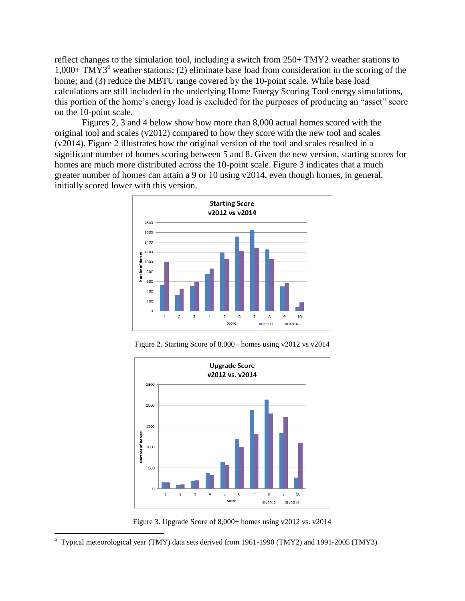reflect changes to the simulation tool, including a switch from 250+ TMY2 weather stations to  $1,000+$  TMY3<sup>6</sup> weather stations; (2) eliminate base load from consideration in the scoring of the home; and (3) reduce the MBTU range covered by the 10-point scale. While base load calculations are still included in the underlying Home Energy Scoring Tool energy simulations, this portion of the home's energy load is excluded for the purposes of producing an "asset" score on the 10-point scale.

Figures 2, 3 and 4 below show how more than 8,000 actual homes scored with the original tool and scales (v2012) compared to how they score with the new tool and scales (v2014). Figure 2 illustrates how the original version of the tool and scales resulted in a significant number of homes scoring between 5 and 8. Given the new version, starting scores for homes are much more distributed across the 10-point scale. Figure 3 indicates that a much greater number of homes can attain a 9 or 10 using v2014, even though homes, in general, initially scored lower with this version.



Figure 2. Starting Score of 8,000+ homes using v2012 vs v2014



Figure 3. Upgrade Score of 8,000+ homes using v2012 vs. v2014

 $\overline{a}$ 

 $6$  Typical meteorological year (TMY) data sets derived from 1961-1990 (TMY2) and 1991-2005 (TMY3)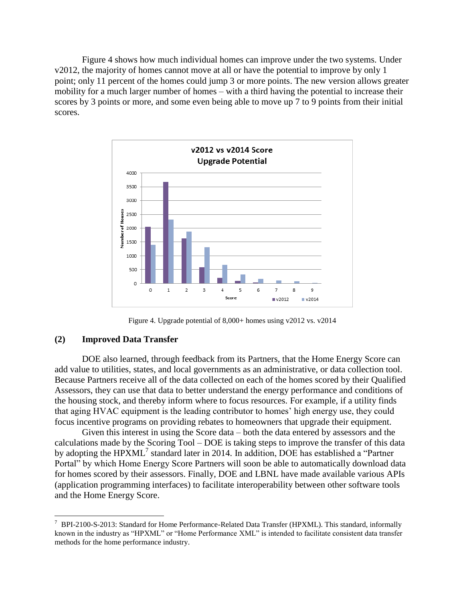Figure 4 shows how much individual homes can improve under the two systems. Under v2012, the majority of homes cannot move at all or have the potential to improve by only 1 point; only 11 percent of the homes could jump 3 or more points. The new version allows greater mobility for a much larger number of homes – with a third having the potential to increase their scores by 3 points or more, and some even being able to move up 7 to 9 points from their initial scores.



Figure 4. Upgrade potential of 8,000+ homes using v2012 vs. v2014

#### **(2) Improved Data Transfer**

 $\overline{a}$ 

DOE also learned, through feedback from its Partners, that the Home Energy Score can add value to utilities, states, and local governments as an administrative, or data collection tool. Because Partners receive all of the data collected on each of the homes scored by their Qualified Assessors, they can use that data to better understand the energy performance and conditions of the housing stock, and thereby inform where to focus resources. For example, if a utility finds that aging HVAC equipment is the leading contributor to homes' high energy use, they could focus incentive programs on providing rebates to homeowners that upgrade their equipment.

Given this interest in using the Score data – both the data entered by assessors and the calculations made by the Scoring Tool – DOE is taking steps to improve the transfer of this data by adopting the HPXML<sup>7</sup> standard later in 2014. In addition, DOE has established a "Partner" Portal" by which Home Energy Score Partners will soon be able to automatically download data for homes scored by their assessors. Finally, DOE and LBNL have made available various APIs (application programming interfaces) to facilitate interoperability between other software tools and the Home Energy Score.

<sup>7</sup> BPI-2100-S-2013: Standard for Home Performance-Related Data Transfer (HPXML). This standard, informally known in the industry as "HPXML" or "Home Performance XML" is intended to facilitate consistent data transfer methods for the home performance industry.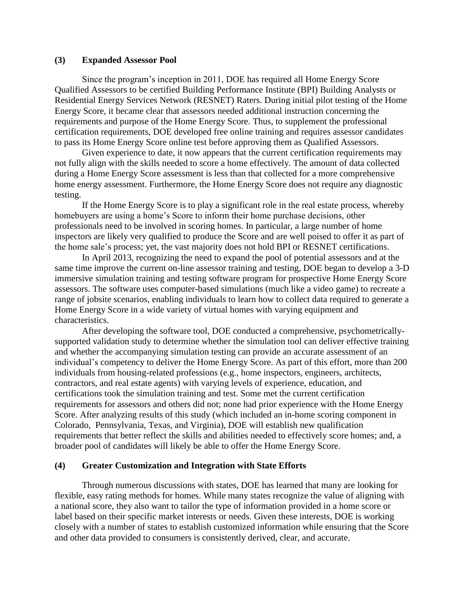#### **(3) Expanded Assessor Pool**

Since the program's inception in 2011, DOE has required all Home Energy Score Qualified Assessors to be certified Building Performance Institute (BPI) Building Analysts or Residential Energy Services Network (RESNET) Raters. During initial pilot testing of the Home Energy Score, it became clear that assessors needed additional instruction concerning the requirements and purpose of the Home Energy Score. Thus, to supplement the professional certification requirements, DOE developed free online training and requires assessor candidates to pass its Home Energy Score online test before approving them as Qualified Assessors.

Given experience to date, it now appears that the current certification requirements may not fully align with the skills needed to score a home effectively. The amount of data collected during a Home Energy Score assessment is less than that collected for a more comprehensive home energy assessment. Furthermore, the Home Energy Score does not require any diagnostic testing.

If the Home Energy Score is to play a significant role in the real estate process, whereby homebuyers are using a home's Score to inform their home purchase decisions, other professionals need to be involved in scoring homes. In particular, a large number of home inspectors are likely very qualified to produce the Score and are well poised to offer it as part of the home sale's process; yet, the vast majority does not hold BPI or RESNET certifications.

In April 2013, recognizing the need to expand the pool of potential assessors and at the same time improve the current on-line assessor training and testing, DOE began to develop a 3-D immersive simulation training and testing software program for prospective Home Energy Score assessors. The software uses computer-based simulations (much like a video game) to recreate a range of jobsite scenarios, enabling individuals to learn how to collect data required to generate a Home Energy Score in a wide variety of virtual homes with varying equipment and characteristics.

After developing the software tool, DOE conducted a comprehensive, psychometricallysupported validation study to determine whether the simulation tool can deliver effective training and whether the accompanying simulation testing can provide an accurate assessment of an individual's competency to deliver the Home Energy Score. As part of this effort, more than 200 individuals from housing-related professions (e.g., home inspectors, engineers, architects, contractors, and real estate agents) with varying levels of experience, education, and certifications took the simulation training and test. Some met the current certification requirements for assessors and others did not; none had prior experience with the Home Energy Score. After analyzing results of this study (which included an in-home scoring component in Colorado, Pennsylvania, Texas, and Virginia), DOE will establish new qualification requirements that better reflect the skills and abilities needed to effectively score homes; and, a broader pool of candidates will likely be able to offer the Home Energy Score.

#### **(4) Greater Customization and Integration with State Efforts**

Through numerous discussions with states, DOE has learned that many are looking for flexible, easy rating methods for homes. While many states recognize the value of aligning with a national score, they also want to tailor the type of information provided in a home score or label based on their specific market interests or needs. Given these interests, DOE is working closely with a number of states to establish customized information while ensuring that the Score and other data provided to consumers is consistently derived, clear, and accurate.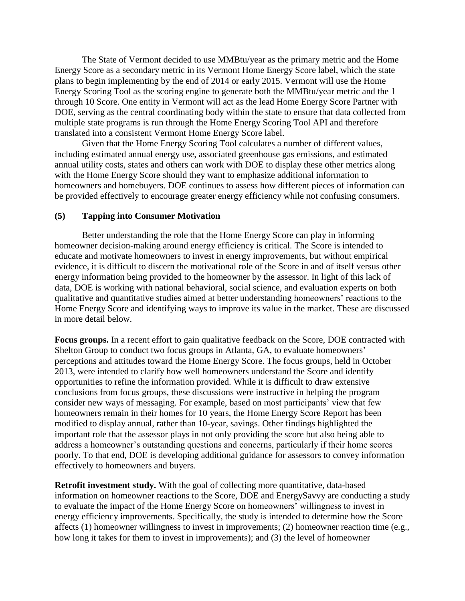The State of Vermont decided to use MMBtu/year as the primary metric and the Home Energy Score as a secondary metric in its Vermont Home Energy Score label, which the state plans to begin implementing by the end of 2014 or early 2015. Vermont will use the Home Energy Scoring Tool as the scoring engine to generate both the MMBtu/year metric and the 1 through 10 Score. One entity in Vermont will act as the lead Home Energy Score Partner with DOE, serving as the central coordinating body within the state to ensure that data collected from multiple state programs is run through the Home Energy Scoring Tool API and therefore translated into a consistent Vermont Home Energy Score label.

Given that the Home Energy Scoring Tool calculates a number of different values, including estimated annual energy use, associated greenhouse gas emissions, and estimated annual utility costs, states and others can work with DOE to display these other metrics along with the Home Energy Score should they want to emphasize additional information to homeowners and homebuyers. DOE continues to assess how different pieces of information can be provided effectively to encourage greater energy efficiency while not confusing consumers.

#### **(5) Tapping into Consumer Motivation**

Better understanding the role that the Home Energy Score can play in informing homeowner decision-making around energy efficiency is critical. The Score is intended to educate and motivate homeowners to invest in energy improvements, but without empirical evidence, it is difficult to discern the motivational role of the Score in and of itself versus other energy information being provided to the homeowner by the assessor. In light of this lack of data, DOE is working with national behavioral, social science, and evaluation experts on both qualitative and quantitative studies aimed at better understanding homeowners' reactions to the Home Energy Score and identifying ways to improve its value in the market. These are discussed in more detail below.

**Focus groups.** In a recent effort to gain qualitative feedback on the Score, DOE contracted with Shelton Group to conduct two focus groups in Atlanta, GA, to evaluate homeowners' perceptions and attitudes toward the Home Energy Score. The focus groups, held in October 2013, were intended to clarify how well homeowners understand the Score and identify opportunities to refine the information provided. While it is difficult to draw extensive conclusions from focus groups, these discussions were instructive in helping the program consider new ways of messaging. For example, based on most participants' view that few homeowners remain in their homes for 10 years, the Home Energy Score Report has been modified to display annual, rather than 10-year, savings. Other findings highlighted the important role that the assessor plays in not only providing the score but also being able to address a homeowner's outstanding questions and concerns, particularly if their home scores poorly. To that end, DOE is developing additional guidance for assessors to convey information effectively to homeowners and buyers.

**Retrofit investment study.** With the goal of collecting more quantitative, data-based information on homeowner reactions to the Score, DOE and EnergySavvy are conducting a study to evaluate the impact of the Home Energy Score on homeowners' willingness to invest in energy efficiency improvements. Specifically, the study is intended to determine how the Score affects (1) homeowner willingness to invest in improvements; (2) homeowner reaction time (e.g., how long it takes for them to invest in improvements); and (3) the level of homeowner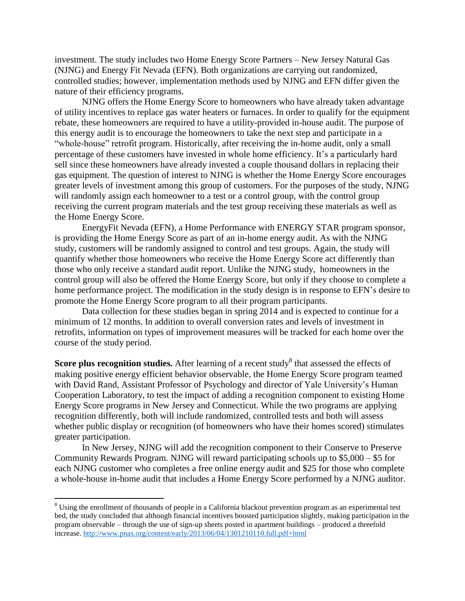investment. The study includes two Home Energy Score Partners – New Jersey Natural Gas (NJNG) and Energy Fit Nevada (EFN). Both organizations are carrying out randomized, controlled studies; however, implementation methods used by NJNG and EFN differ given the nature of their efficiency programs.

NJNG offers the Home Energy Score to homeowners who have already taken advantage of utility incentives to replace gas water heaters or furnaces. In order to qualify for the equipment rebate, these homeowners are required to have a utility-provided in-house audit. The purpose of this energy audit is to encourage the homeowners to take the next step and participate in a "whole-house" retrofit program. Historically, after receiving the in-home audit, only a small percentage of these customers have invested in whole home efficiency. It's a particularly hard sell since these homeowners have already invested a couple thousand dollars in replacing their gas equipment. The question of interest to NJNG is whether the Home Energy Score encourages greater levels of investment among this group of customers. For the purposes of the study, NJNG will randomly assign each homeowner to a test or a control group, with the control group receiving the current program materials and the test group receiving these materials as well as the Home Energy Score.

EnergyFit Nevada (EFN), a Home Performance with ENERGY STAR program sponsor, is providing the Home Energy Score as part of an in-home energy audit. As with the NJNG study, customers will be randomly assigned to control and test groups. Again, the study will quantify whether those homeowners who receive the Home Energy Score act differently than those who only receive a standard audit report. Unlike the NJNG study, homeowners in the control group will also be offered the Home Energy Score, but only if they choose to complete a home performance project. The modification in the study design is in response to EFN's desire to promote the Home Energy Score program to all their program participants.

Data collection for these studies began in spring 2014 and is expected to continue for a minimum of 12 months. In addition to overall conversion rates and levels of investment in retrofits, information on types of improvement measures will be tracked for each home over the course of the study period.

**Score plus recognition studies.** After learning of a recent study<sup>8</sup> that assessed the effects of making positive energy efficient behavior observable, the Home Energy Score program teamed with David Rand, Assistant Professor of Psychology and director of Yale University's Human Cooperation Laboratory, to test the impact of adding a recognition component to existing Home Energy Score programs in New Jersey and Connecticut. While the two programs are applying recognition differently, both will include randomized, controlled tests and both will assess whether public display or recognition (of homeowners who have their homes scored) stimulates greater participation.

In New Jersey, NJNG will add the recognition component to their Conserve to Preserve Community Rewards Program. NJNG will reward participating schools up to \$5,000 – \$5 for each NJNG customer who completes a free online energy audit and \$25 for those who complete a whole-house in-home audit that includes a Home Energy Score performed by a NJNG auditor.

 $\overline{a}$ 

<sup>&</sup>lt;sup>8</sup> Using the enrollment of thousands of people in a California blackout prevention program as an experimental test bed, the study concluded that although financial incentives boosted participation slightly, making participation in the program observable – through the use of sign-up sheets posted in apartment buildings – produced a threefold increase.<http://www.pnas.org/content/early/2013/06/04/1301210110.full.pdf+html>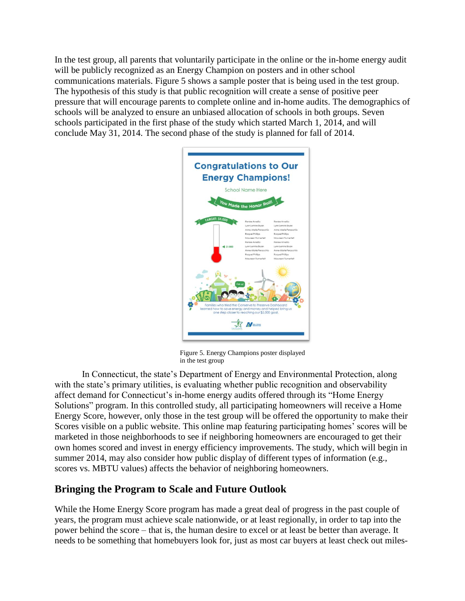In the test group, all parents that voluntarily participate in the online or the in-home energy audit will be publicly recognized as an Energy Champion on posters and in other school communications materials. Figure 5 shows a sample poster that is being used in the test group. The hypothesis of this study is that public recognition will create a sense of positive peer pressure that will encourage parents to complete online and in-home audits. The demographics of schools will be analyzed to ensure an unbiased allocation of schools in both groups. Seven schools participated in the first phase of the study which started March 1, 2014, and will conclude May 31, 2014. The second phase of the study is planned for fall of 2014.



Figure 5. Energy Champions poster displayed in the test group

In Connecticut, the state's Department of Energy and Environmental Protection, along with the state's primary utilities, is evaluating whether public recognition and observability affect demand for Connecticut's in-home energy audits offered through its "Home Energy Solutions" program. In this controlled study, all participating homeowners will receive a Home Energy Score, however, only those in the test group will be offered the opportunity to make their Scores visible on a public website. This online map featuring participating homes' scores will be marketed in those neighborhoods to see if neighboring homeowners are encouraged to get their own homes scored and invest in energy efficiency improvements. The study, which will begin in summer 2014, may also consider how public display of different types of information (e.g., scores vs. MBTU values) affects the behavior of neighboring homeowners.

# **Bringing the Program to Scale and Future Outlook**

While the Home Energy Score program has made a great deal of progress in the past couple of years, the program must achieve scale nationwide, or at least regionally, in order to tap into the power behind the score – that is, the human desire to excel or at least be better than average. It needs to be something that homebuyers look for, just as most car buyers at least check out miles-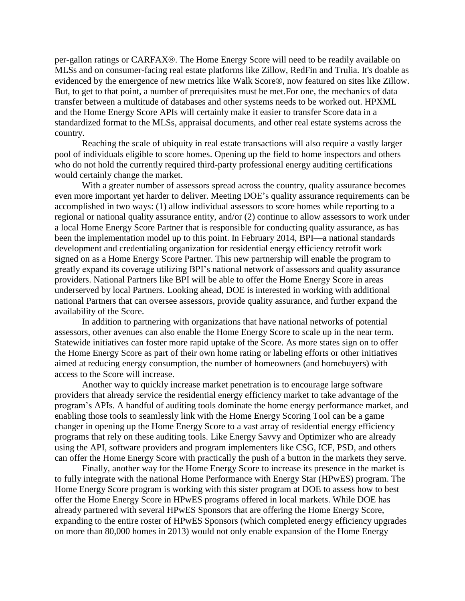per-gallon ratings or CARFAX®. The Home Energy Score will need to be readily available on MLSs and on consumer-facing real estate platforms like Zillow, RedFin and Trulia. It's doable as evidenced by the emergence of new metrics like Walk Score®, now featured on sites like Zillow. But, to get to that point, a number of prerequisites must be met.For one, the mechanics of data transfer between a multitude of databases and other systems needs to be worked out. HPXML and the Home Energy Score APIs will certainly make it easier to transfer Score data in a standardized format to the MLSs, appraisal documents, and other real estate systems across the country.

Reaching the scale of ubiquity in real estate transactions will also require a vastly larger pool of individuals eligible to score homes. Opening up the field to home inspectors and others who do not hold the currently required third-party professional energy auditing certifications would certainly change the market.

With a greater number of assessors spread across the country, quality assurance becomes even more important yet harder to deliver. Meeting DOE's quality assurance requirements can be accomplished in two ways: (1) allow individual assessors to score homes while reporting to a regional or national quality assurance entity, and/or (2) continue to allow assessors to work under a local Home Energy Score Partner that is responsible for conducting quality assurance, as has been the implementation model up to this point. In February 2014, BPI—a national standards development and credentialing organization for residential energy efficiency retrofit work signed on as a Home Energy Score Partner. This new partnership will enable the program to greatly expand its coverage utilizing BPI's national network of assessors and quality assurance providers. National Partners like BPI will be able to offer the Home Energy Score in areas underserved by local Partners. Looking ahead, DOE is interested in working with additional national Partners that can oversee assessors, provide quality assurance, and further expand the availability of the Score.

In addition to partnering with organizations that have national networks of potential assessors, other avenues can also enable the Home Energy Score to scale up in the near term. Statewide initiatives can foster more rapid uptake of the Score. As more states sign on to offer the Home Energy Score as part of their own home rating or labeling efforts or other initiatives aimed at reducing energy consumption, the number of homeowners (and homebuyers) with access to the Score will increase.

Another way to quickly increase market penetration is to encourage large software providers that already service the residential energy efficiency market to take advantage of the program's APIs. A handful of auditing tools dominate the home energy performance market, and enabling those tools to seamlessly link with the Home Energy Scoring Tool can be a game changer in opening up the Home Energy Score to a vast array of residential energy efficiency programs that rely on these auditing tools. Like Energy Savvy and Optimizer who are already using the API, software providers and program implementers like CSG, ICF, PSD, and others can offer the Home Energy Score with practically the push of a button in the markets they serve.

Finally, another way for the Home Energy Score to increase its presence in the market is to fully integrate with the national Home Performance with Energy Star (HPwES) program. The Home Energy Score program is working with this sister program at DOE to assess how to best offer the Home Energy Score in HPwES programs offered in local markets. While DOE has already partnered with several HPwES Sponsors that are offering the Home Energy Score, expanding to the entire roster of HPwES Sponsors (which completed energy efficiency upgrades on more than 80,000 homes in 2013) would not only enable expansion of the Home Energy